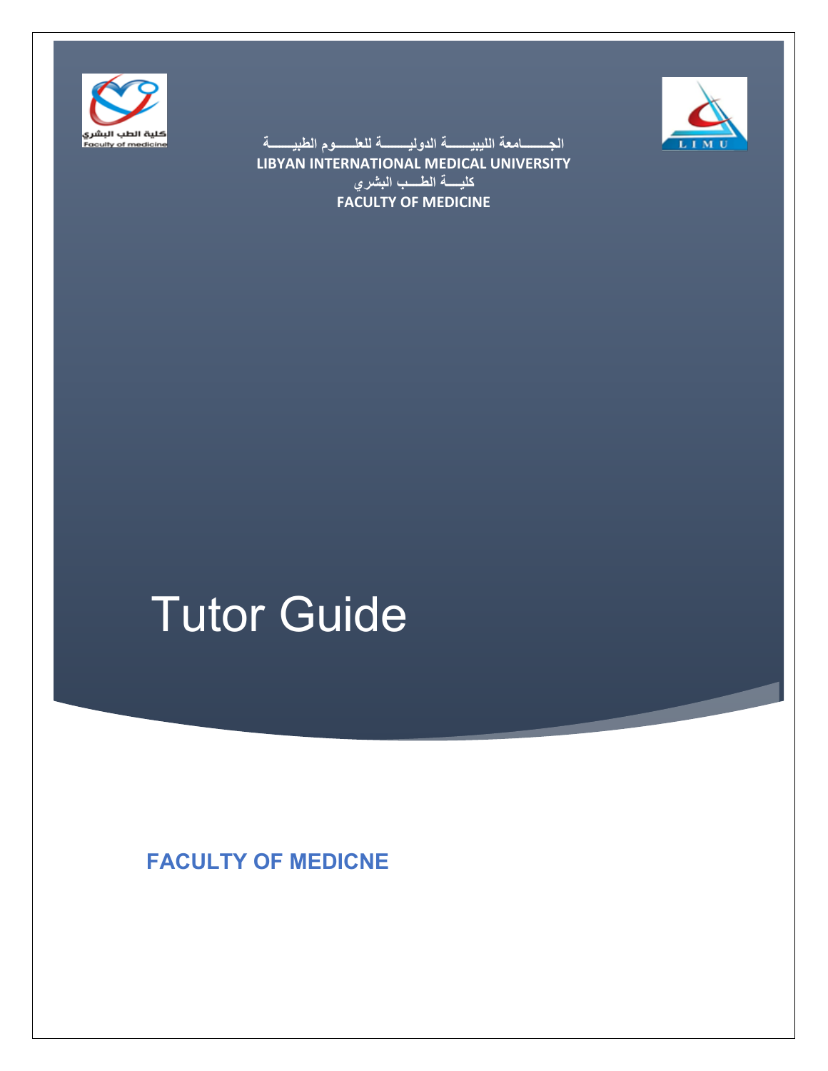



الجـــــــــامعة الليبيـــــــــة الدوليــــــــة للع<del>لــــ</del>ـــوم الطبيــــــــة **LIBYAN INTERNATIONAL MEDICAL UNIVERSITY كليســـة الطســب البشري FACULTY OF MEDICINE**

# Tutor Guide

**FACULTY OF MEDICNE**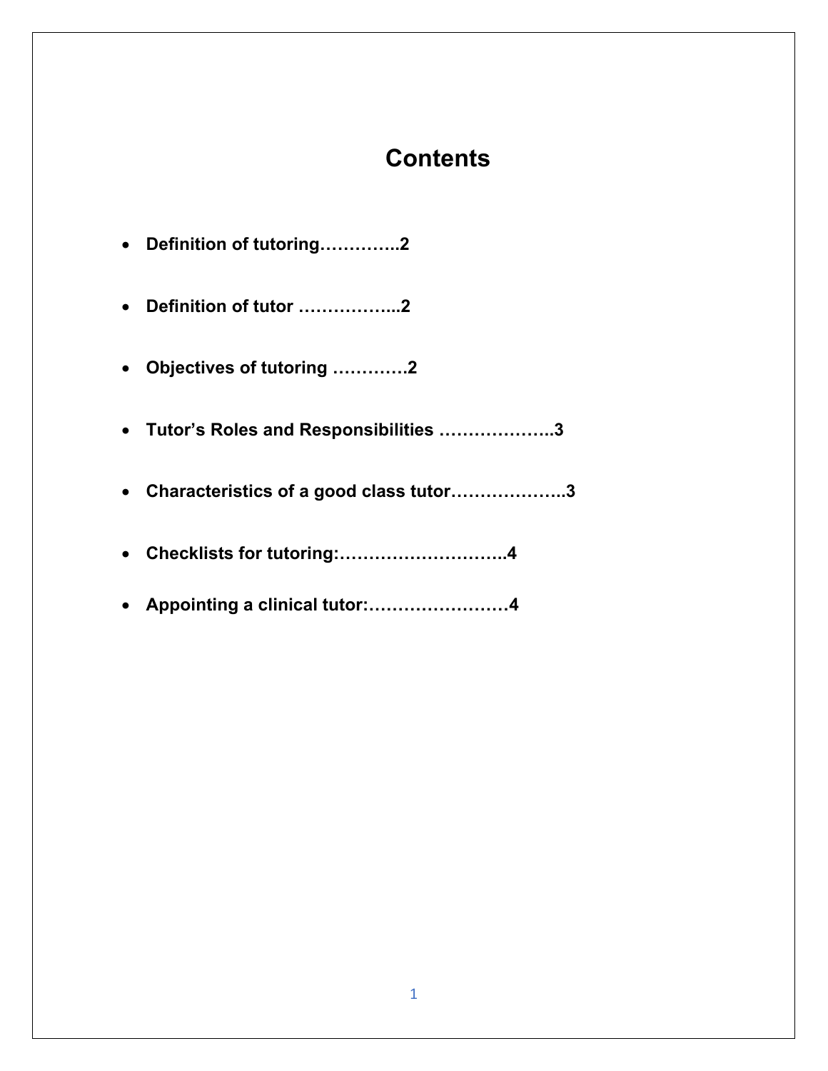# **Contents**

| • Definition of tutoring2                |
|------------------------------------------|
| • Definition of tutor 2                  |
| Objectives of tutoring 2                 |
| • Tutor's Roles and Responsibilities 3   |
| • Characteristics of a good class tutor3 |
|                                          |
| • Appointing a clinical tutor:4          |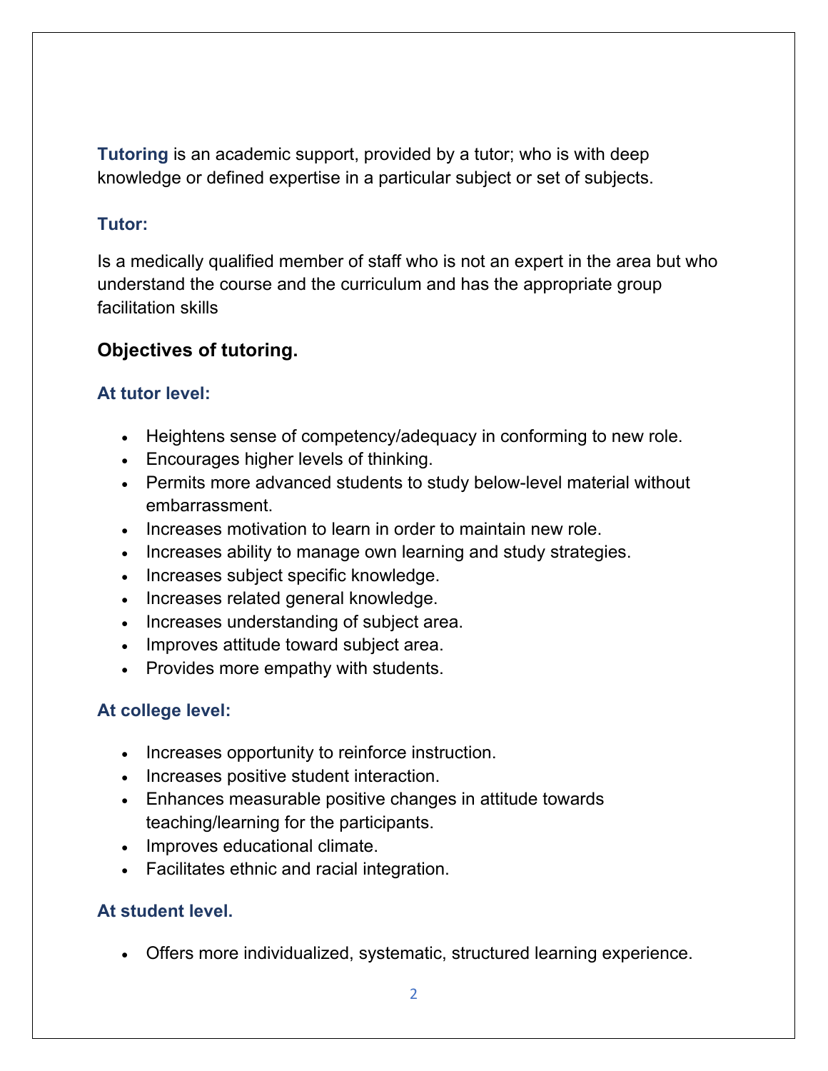**Tutoring** is an academic support, provided by a tutor; who is with deep knowledge or defined expertise in a particular subject or set of subjects.

### **Tutor:**

Is a medically qualified member of staff who is not an expert in the area but who understand the course and the curriculum and has the appropriate group facilitation skills

# **Objectives of tutoring.**

# **At tutor level:**

- Heightens sense of competency/adequacy in conforming to new role.
- Encourages higher levels of thinking.
- Permits more advanced students to study below-level material without embarrassment.
- Increases motivation to learn in order to maintain new role.
- Increases ability to manage own learning and study strategies.
- Increases subject specific knowledge.
- Increases related general knowledge.
- Increases understanding of subject area.
- Improves attitude toward subject area.
- Provides more empathy with students.

# **At college level:**

- Increases opportunity to reinforce instruction.
- Increases positive student interaction.
- Enhances measurable positive changes in attitude towards teaching/learning for the participants.
- Improves educational climate.
- Facilitates ethnic and racial integration.

#### **At student level.**

• Offers more individualized, systematic, structured learning experience.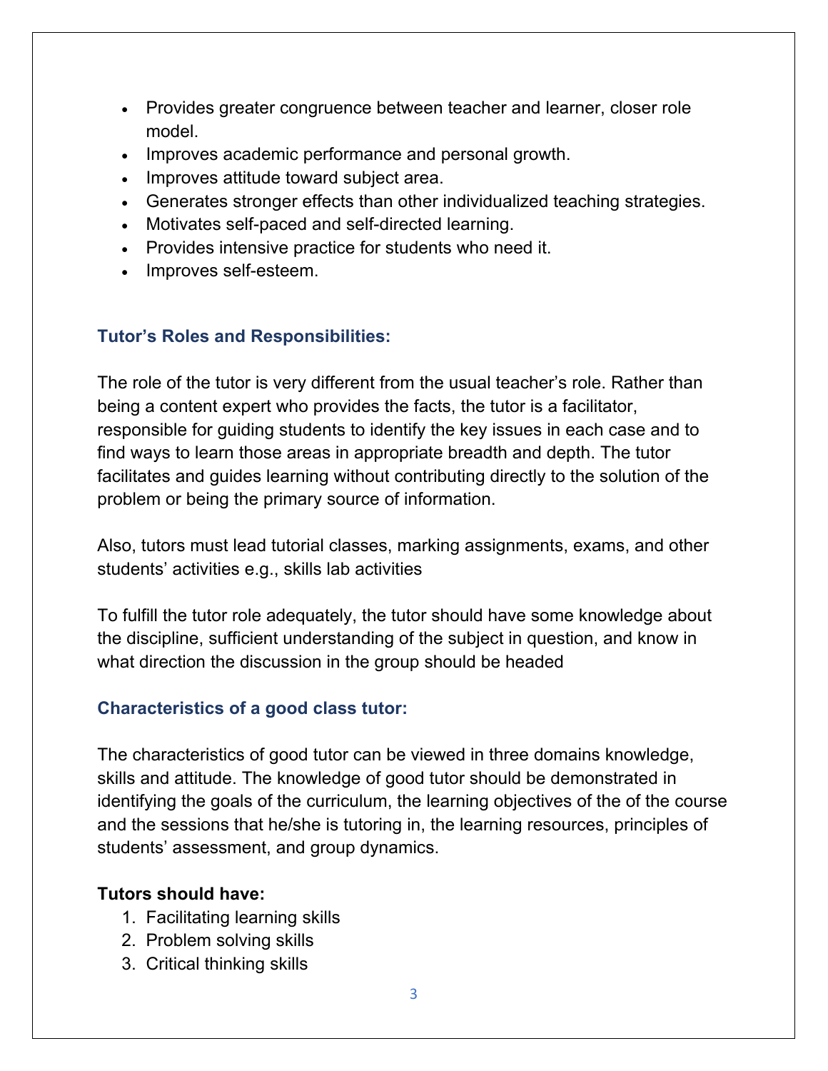- Provides greater congruence between teacher and learner, closer role model.
- Improves academic performance and personal growth.
- Improves attitude toward subject area.
- Generates stronger effects than other individualized teaching strategies.
- Motivates self-paced and self-directed learning.
- Provides intensive practice for students who need it.
- Improves self-esteem.

#### **Tutor's Roles and Responsibilities:**

The role of the tutor is very different from the usual teacher's role. Rather than being a content expert who provides the facts, the tutor is a facilitator, responsible for guiding students to identify the key issues in each case and to find ways to learn those areas in appropriate breadth and depth. The tutor facilitates and guides learning without contributing directly to the solution of the problem or being the primary source of information.

Also, tutors must lead tutorial classes, marking assignments, exams, and other students' activities e.g., skills lab activities

To fulfill the tutor role adequately, the tutor should have some knowledge about the discipline, sufficient understanding of the subject in question, and know in what direction the discussion in the group should be headed

#### **Characteristics of a good class tutor:**

The characteristics of good tutor can be viewed in three domains knowledge, skills and attitude. The knowledge of good tutor should be demonstrated in identifying the goals of the curriculum, the learning objectives of the of the course and the sessions that he/she is tutoring in, the learning resources, principles of students' assessment, and group dynamics.

#### **Tutors should have:**

- 1. Facilitating learning skills
- 2. Problem solving skills
- 3. Critical thinking skills